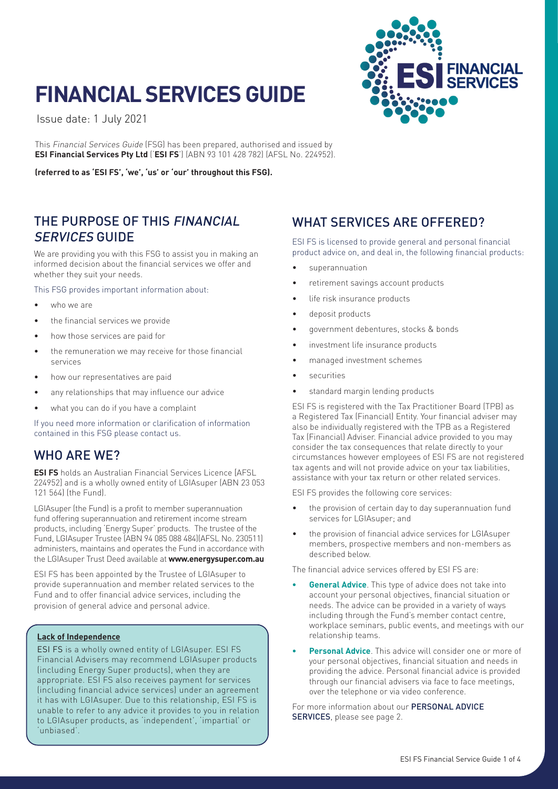# **FINANCIAL SERVICES GUIDE**

Issue date: 1 July 2021

This Financial Services Guide (FSG) has been prepared, authorised and issued by **ESI Financial Services Pty Ltd** ('**ESI FS**') (ABN 93 101 428 782) (AFSL No. 224952).

**(referred to as 'ESI FS', 'we', 'us' or 'our' throughout this FSG).**

### THE PURPOSE OF THIS FINANCIAL SERVICES GUIDE

We are providing you with this FSG to assist you in making an informed decision about the financial services we offer and whether they suit your needs.

This FSG provides important information about:

- who we are
- the financial services we provide
- how those services are paid for
- the remuneration we may receive for those financial services
- how our representatives are paid
- any relationships that may influence our advice
- what you can do if you have a complaint

If you need more information or clarification of information contained in this FSG please contact us.

### WHO ARE WE?

**ESI FS** holds an Australian Financial Services Licence [AFSL 224952] and is a wholly owned entity of LGIAsuper (ABN 23 053 121 564) (the Fund).

LGIAsuper (the Fund) is a profit to member superannuation fund offering superannuation and retirement income stream products, including 'Energy Super' products. The trustee of the Fund, LGIAsuper Trustee (ABN 94 085 088 484)(AFSL No. 230511) administers, maintains and operates the Fund in accordance with the LGIAsuper Trust Deed available at **www.energysuper.com.au**

ESI FS has been appointed by the Trustee of LGIAsuper to provide superannuation and member related services to the Fund and to offer financial advice services, including the provision of general advice and personal advice.

#### **Lack of Independence**

ESI FS is a wholly owned entity of LGIAsuper. ESI FS Financial Advisers may recommend LGIAsuper products (including Energy Super products), when they are appropriate. ESI FS also receives payment for services (including financial advice services) under an agreement it has with LGIAsuper. Due to this relationship, ESI FS is unable to refer to any advice it provides to you in relation to LGIAsuper products, as 'independent', 'impartial' or 'unbiased'.

# WHAT SERVICES ARE OFFERED?

ESI FS is licensed to provide general and personal financial product advice on, and deal in, the following financial products:

- superannuation
- retirement savings account products
- life risk insurance products
- deposit products
- government debentures, stocks & bonds
- investment life insurance products
- managed investment schemes
- securities
- standard margin lending products

ESI FS is registered with the Tax Practitioner Board (TPB) as a Registered Tax (Financial) Entity. Your financial adviser may also be individually registered with the TPB as a Registered Tax (Financial) Adviser. Financial advice provided to you may consider the tax consequences that relate directly to your circumstances however employees of ESI FS are not registered tax agents and will not provide advice on your tax liabilities, assistance with your tax return or other related services.

ESI FS provides the following core services:

- the provision of certain day to day superannuation fund services for LGIAsuper; and
- the provision of financial advice services for LGIAsuper members, prospective members and non-members as described below.

The financial advice services offered by ESI FS are:

- **• General Advice**. This type of advice does not take into account your personal objectives, financial situation or needs. The advice can be provided in a variety of ways including through the Fund's member contact centre, workplace seminars, public events, and meetings with our relationship teams.
- **• Personal Advice**. This advice will consider one or more of your personal objectives, financial situation and needs in providing the advice. Personal financial advice is provided through our financial advisers via face to face meetings, over the telephone or via video conference.

For more information about our **PERSONAL ADVICE** SERVICES, please see page 2.

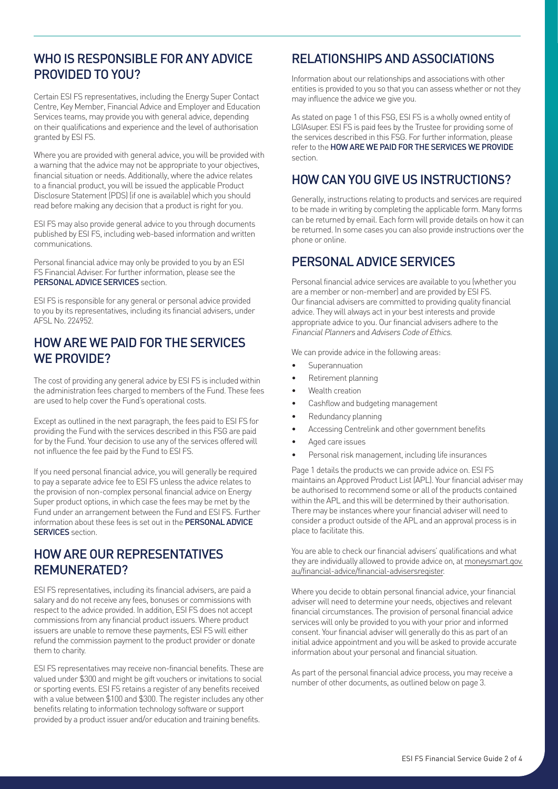### WHO IS RESPONSIBLE FOR ANY ADVICE PROVIDED TO YOU?

Certain ESI FS representatives, including the Energy Super Contact Centre, Key Member, Financial Advice and Employer and Education Services teams, may provide you with general advice, depending on their qualifications and experience and the level of authorisation granted by ESI FS.

Where you are provided with general advice, you will be provided with a warning that the advice may not be appropriate to your objectives, financial situation or needs. Additionally, where the advice relates to a financial product, you will be issued the applicable Product Disclosure Statement (PDS) (if one is available) which you should read before making any decision that a product is right for you.

ESI FS may also provide general advice to you through documents published by ESI FS, including web-based information and written communications.

Personal financial advice may only be provided to you by an ESI FS Financial Adviser. For further information, please see the PERSONAL ADVICE SERVICES section.

ESI FS is responsible for any general or personal advice provided to you by its representatives, including its financial advisers, under AFSL No. 224952.

### HOW ARE WE PAID FOR THE SERVICES WE PROVIDE?

The cost of providing any general advice by ESI FS is included within the administration fees charged to members of the Fund. These fees are used to help cover the Fund's operational costs.

Except as outlined in the next paragraph, the fees paid to ESI FS for providing the Fund with the services described in this FSG are paid for by the Fund. Your decision to use any of the services offered will not influence the fee paid by the Fund to ESI FS.

If you need personal financial advice, you will generally be required to pay a separate advice fee to ESI FS unless the advice relates to the provision of non-complex personal financial advice on Energy Super product options, in which case the fees may be met by the Fund under an arrangement between the Fund and ESI FS. Further information about these fees is set out in the PERSONAL ADVICE **SERVICES** section

### HOW ARE OUR REPRESENTATIVES REMUNERATED?

ESI FS representatives, including its financial advisers, are paid a salary and do not receive any fees, bonuses or commissions with respect to the advice provided. In addition, ESI FS does not accept commissions from any financial product issuers. Where product issuers are unable to remove these payments, ESI FS will either refund the commission payment to the product provider or donate them to charity.

ESI FS representatives may receive non-financial benefits. These are valued under \$300 and might be gift vouchers or invitations to social or sporting events. ESI FS retains a register of any benefits received with a value between \$100 and \$300. The register includes any other benefits relating to information technology software or support provided by a product issuer and/or education and training benefits.

# RELATIONSHIPS AND ASSOCIATIONS

Information about our relationships and associations with other entities is provided to you so that you can assess whether or not they may influence the advice we give you.

As stated on page 1 of this FSG, ESI FS is a wholly owned entity of LGIAsuper. ESI FS is paid fees by the Trustee for providing some of the services described in this FSG. For further information, please refer to the HOW ARE WE PAID FOR THE SERVICES WE PROVIDE section.

### HOW CAN YOU GIVE US INSTRUCTIONS?

Generally, instructions relating to products and services are required to be made in writing by completing the applicable form. Many forms can be returned by email. Each form will provide details on how it can be returned. In some cases you can also provide instructions over the phone or online.

### PERSONAL ADVICE SERVICES

Personal financial advice services are available to you (whether you are a member or non-member) and are provided by ESI FS. Our financial advisers are committed to providing quality financial advice. They will always act in your best interests and provide appropriate advice to you. Our financial advisers adhere to the Financial Planners and Advisers Code of Ethics.

We can provide advice in the following areas:

- Superannuation
- Retirement planning
- Wealth creation
- Cashflow and budgeting management
- Redundancy planning
- Accessing Centrelink and other government benefits
- Aged care issues
- Personal risk management, including life insurances

Page 1 details the products we can provide advice on. ESI FS maintains an Approved Product List (APL). Your financial adviser may be authorised to recommend some or all of the products contained within the APL and this will be determined by their authorisation. There may be instances where your financial adviser will need to consider a product outside of the APL and an approval process is in place to facilitate this.

You are able to check our financial advisers' qualifications and what they are individually allowed to provide advice on, at moneysmart.gov. au/financial-advice/financial-advisersregister.

Where you decide to obtain personal financial advice, your financial adviser will need to determine your needs, objectives and relevant financial circumstances. The provision of personal financial advice services will only be provided to you with your prior and informed consent. Your financial adviser will generally do this as part of an initial advice appointment and you will be asked to provide accurate information about your personal and financial situation.

As part of the personal financial advice process, you may receive a number of other documents, as outlined below on page 3.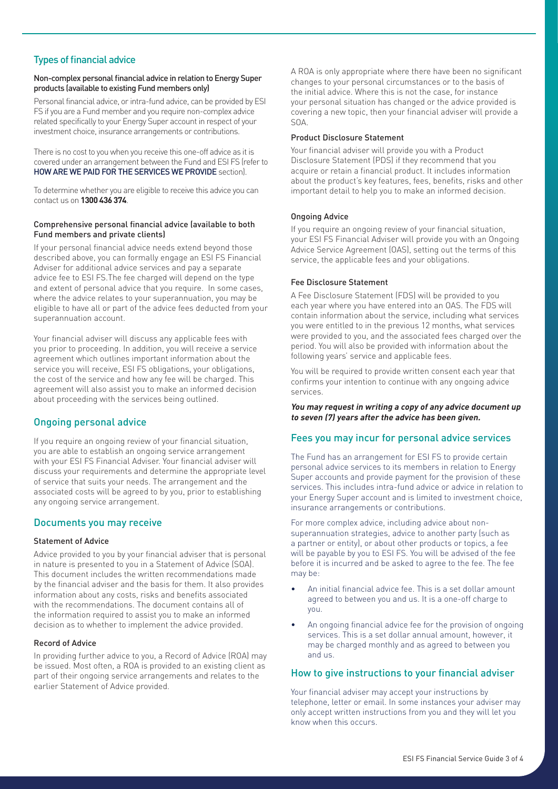### Types of financial advice

#### Non-complex personal financial advice in relation to Energy Super products (available to existing Fund members only)

Personal financial advice, or intra-fund advice, can be provided by ESI FS if you are a Fund member and you require non-complex advice related specifically to your Energy Super account in respect of your investment choice, insurance arrangements or contributions.

There is no cost to you when you receive this one-off advice as it is covered under an arrangement between the Fund and ESI FS (refer to HOW ARE WE PAID FOR THE SERVICES WE PROVIDE section).

To determine whether you are eligible to receive this advice you can contact us on **1300 436 374**.

#### Comprehensive personal financial advice (available to both Fund members and private clients)

If your personal financial advice needs extend beyond those described above, you can formally engage an ESI FS Financial Adviser for additional advice services and pay a separate advice fee to ESI FS.The fee charged will depend on the type and extent of personal advice that you require. In some cases, where the advice relates to your superannuation, you may be eligible to have all or part of the advice fees deducted from your superannuation account.

Your financial adviser will discuss any applicable fees with you prior to proceeding. In addition, you will receive a service agreement which outlines important information about the service you will receive, ESI FS obligations, your obligations, the cost of the service and how any fee will be charged. This agreement will also assist you to make an informed decision about proceeding with the services being outlined.

### Ongoing personal advice

If you require an ongoing review of your financial situation, you are able to establish an ongoing service arrangement with your ESI FS Financial Adviser. Your financial adviser will discuss your requirements and determine the appropriate level of service that suits your needs. The arrangement and the associated costs will be agreed to by you, prior to establishing any ongoing service arrangement.

#### Documents you may receive

#### Statement of Advice

Advice provided to you by your financial adviser that is personal in nature is presented to you in a Statement of Advice (SOA). This document includes the written recommendations made by the financial adviser and the basis for them. It also provides information about any costs, risks and benefits associated with the recommendations. The document contains all of the information required to assist you to make an informed decision as to whether to implement the advice provided.

#### Record of Advice

In providing further advice to you, a Record of Advice (ROA) may be issued. Most often, a ROA is provided to an existing client as part of their ongoing service arrangements and relates to the earlier Statement of Advice provided.

A ROA is only appropriate where there have been no significant changes to your personal circumstances or to the basis of the initial advice. Where this is not the case, for instance your personal situation has changed or the advice provided is covering a new topic, then your financial adviser will provide a SOA.

#### Product Disclosure Statement

Your financial adviser will provide you with a Product Disclosure Statement (PDS) if they recommend that you acquire or retain a financial product. It includes information about the product's key features, fees, benefits, risks and other important detail to help you to make an informed decision.

#### Ongoing Advice

If you require an ongoing review of your financial situation, your ESI FS Financial Adviser will provide you with an Ongoing Advice Service Agreement (OAS), setting out the terms of this service, the applicable fees and your obligations.

#### Fee Disclosure Statement

A Fee Disclosure Statement (FDS) will be provided to you each year where you have entered into an OAS. The FDS will contain information about the service, including what services you were entitled to in the previous 12 months, what services were provided to you, and the associated fees charged over the period. You will also be provided with information about the following years' service and applicable fees.

You will be required to provide written consent each year that confirms your intention to continue with any ongoing advice services.

**You may request in writing a copy of any advice document up to seven (7) years after the advice has been given.**

#### Fees you may incur for personal advice services

The Fund has an arrangement for ESI FS to provide certain personal advice services to its members in relation to Energy Super accounts and provide payment for the provision of these services. This includes intra-fund advice or advice in relation to your Energy Super account and is limited to investment choice, insurance arrangements or contributions.

For more complex advice, including advice about nonsuperannuation strategies, advice to another party (such as a partner or entity), or about other products or topics, a fee will be payable by you to ESI FS. You will be advised of the fee before it is incurred and be asked to agree to the fee. The fee may be:

- An initial financial advice fee. This is a set dollar amount agreed to between you and us. It is a one-off charge to you.
- An ongoing financial advice fee for the provision of ongoing services. This is a set dollar annual amount, however, it may be charged monthly and as agreed to between you and us.

#### How to give instructions to your financial adviser

Your financial adviser may accept your instructions by telephone, letter or email. In some instances your adviser may only accept written instructions from you and they will let you know when this occurs.